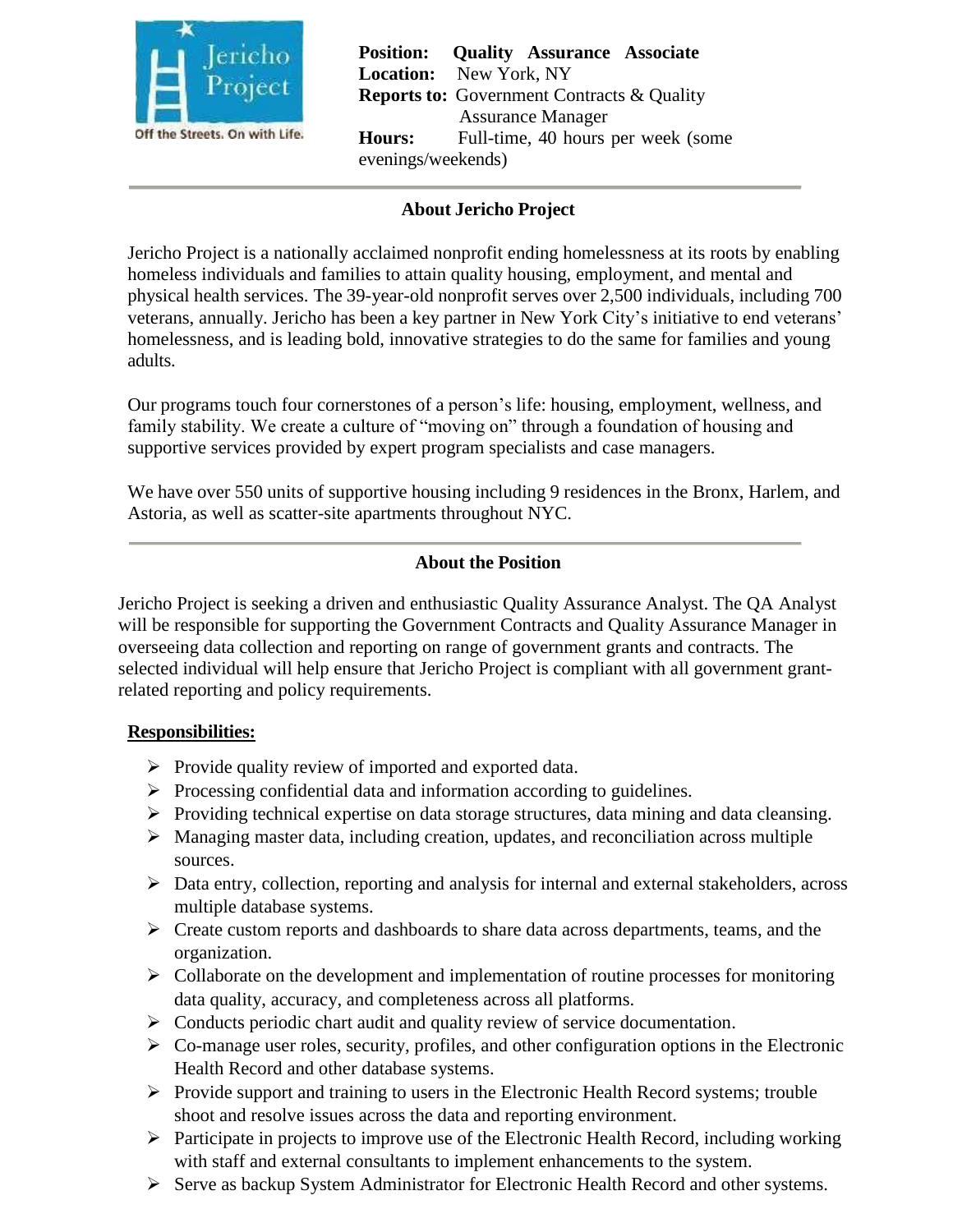

**Position: Quality Assurance Associate Location:** New York, NY **Reports to:** Government Contracts & Quality Assurance Manager **Hours:** Full-time, 40 hours per week (some evenings/weekends)

## **About Jericho Project**

Jericho Project is a nationally acclaimed nonprofit ending homelessness at its roots by enabling homeless individuals and families to attain quality housing, employment, and mental and physical health services. The 39-year-old nonprofit serves over 2,500 individuals, including 700 veterans, annually. Jericho has been a key partner in New York City's initiative to end veterans' homelessness, and is leading bold, innovative strategies to do the same for families and young adults.

Our programs touch four cornerstones of a person's life: housing, employment, wellness, and family stability. We create a culture of "moving on" through a foundation of housing and supportive services provided by expert program specialists and case managers.

We have over 550 units of supportive housing including 9 residences in the Bronx, Harlem, and Astoria, as well as scatter-site apartments throughout NYC.

### **About the Position**

Jericho Project is seeking a driven and enthusiastic Quality Assurance Analyst. The QA Analyst will be responsible for supporting the Government Contracts and Quality Assurance Manager in overseeing data collection and reporting on range of government grants and contracts. The selected individual will help ensure that Jericho Project is compliant with all government grantrelated reporting and policy requirements.

### **Responsibilities:**

- $\triangleright$  Provide quality review of imported and exported data.
- $\triangleright$  Processing confidential data and information according to guidelines.
- $\triangleright$  Providing technical expertise on data storage structures, data mining and data cleansing.
- $\triangleright$  Managing master data, including creation, updates, and reconciliation across multiple sources.
- $\triangleright$  Data entry, collection, reporting and analysis for internal and external stakeholders, across multiple database systems.
- $\triangleright$  Create custom reports and dashboards to share data across departments, teams, and the organization.
- $\triangleright$  Collaborate on the development and implementation of routine processes for monitoring data quality, accuracy, and completeness across all platforms.
- $\triangleright$  Conducts periodic chart audit and quality review of service documentation.
- $\triangleright$  Co-manage user roles, security, profiles, and other configuration options in the Electronic Health Record and other database systems.
- $\triangleright$  Provide support and training to users in the Electronic Health Record systems; trouble shoot and resolve issues across the data and reporting environment.
- $\triangleright$  Participate in projects to improve use of the Electronic Health Record, including working with staff and external consultants to implement enhancements to the system.
- Serve as backup System Administrator for Electronic Health Record and other systems.